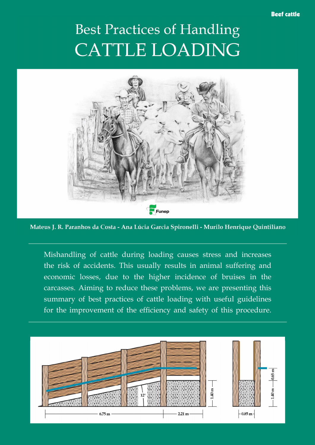## Beef cattle

## **Best Practices of Handling CATTLE LOADING**



Mateus J. R. Paranhos da Costa - Ana Lúcia Garcia Spironelli - Murilo Henrique Quintiliano

Mishandling of cattle during loading causes stress and increases the risk of accidents. This usually results in animal suffering and economic losses, due to the higher incidence of bruises in the carcasses. Aiming to reduce these problems, we are presenting this summary of best practices of cattle loading with useful guidelines for the improvement of the efficiency and safety of this procedure.